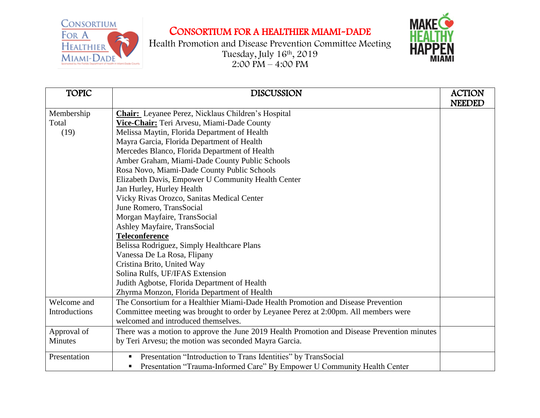CONSORTIUM FOR A HEALTHIER MIAMI-DADE



Health Promotion and Disease Prevention Committee Meeting Tuesday, July 16th , 2019 2:00 PM – 4:00 PM



| <b>TOPIC</b>   | <b>DISCUSSION</b>                                                                           | <b>ACTION</b> |
|----------------|---------------------------------------------------------------------------------------------|---------------|
|                |                                                                                             | <b>NEEDED</b> |
| Membership     | <b>Chair:</b> Leyanee Perez, Nicklaus Children's Hospital                                   |               |
| Total          | Vice-Chair: Teri Arvesu, Miami-Dade County                                                  |               |
| (19)           | Melissa Maytin, Florida Department of Health                                                |               |
|                | Mayra Garcia, Florida Department of Health                                                  |               |
|                | Mercedes Blanco, Florida Department of Health                                               |               |
|                | Amber Graham, Miami-Dade County Public Schools                                              |               |
|                | Rosa Novo, Miami-Dade County Public Schools                                                 |               |
|                | Elizabeth Davis, Empower U Community Health Center                                          |               |
|                | Jan Hurley, Hurley Health                                                                   |               |
|                | Vicky Rivas Orozco, Sanitas Medical Center                                                  |               |
|                | June Romero, TransSocial                                                                    |               |
|                | Morgan Mayfaire, TransSocial                                                                |               |
|                | Ashley Mayfaire, TransSocial                                                                |               |
|                | <b>Teleconference</b>                                                                       |               |
|                | Belissa Rodriguez, Simply Healthcare Plans                                                  |               |
|                | Vanessa De La Rosa, Flipany                                                                 |               |
|                | Cristina Brito, United Way                                                                  |               |
|                | Solina Rulfs, UF/IFAS Extension                                                             |               |
|                | Judith Agbotse, Florida Department of Health                                                |               |
|                | Zhyrma Monzon, Florida Department of Health                                                 |               |
| Welcome and    | The Consortium for a Healthier Miami-Dade Health Promotion and Disease Prevention           |               |
| Introductions  | Committee meeting was brought to order by Leyanee Perez at 2:00pm. All members were         |               |
|                | welcomed and introduced themselves.                                                         |               |
| Approval of    | There was a motion to approve the June 2019 Health Promotion and Disease Prevention minutes |               |
| <b>Minutes</b> | by Teri Arvesu; the motion was seconded Mayra Garcia.                                       |               |
| Presentation   | Presentation "Introduction to Trans Identities" by TransSocial                              |               |
|                | Presentation "Trauma-Informed Care" By Empower U Community Health Center                    |               |